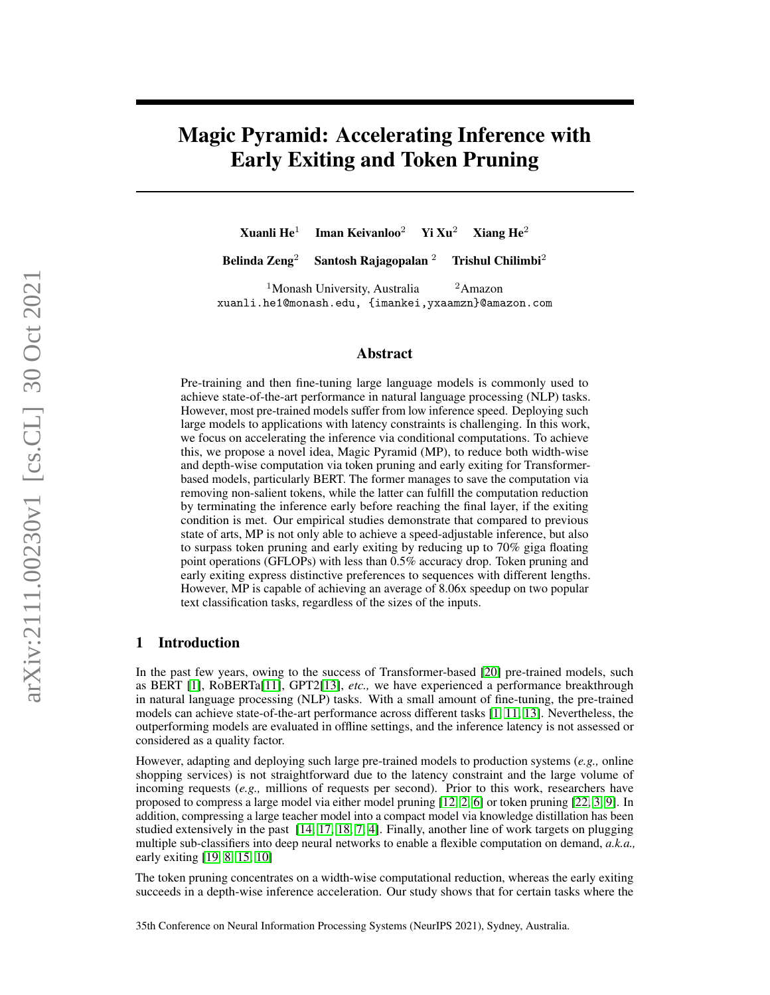# Magic Pyramid: Accelerating Inference with Early Exiting and Token Pruning

Xuanli  $He<sup>1</sup>$ Iman Keivanloo<sup>2</sup> Yi Xu<sup>2</sup> Xiang He<sup>2</sup>

Belinda Zeng<sup>2</sup> Santosh Rajagopalan <sup>2</sup> Trishul Chilimbi<sup>2</sup>

<sup>1</sup>Monash University, Australia  $\frac{2 \text{A}}{2}$ xuanli.he1@monash.edu, {imankei,yxaamzn}@amazon.com

#### Abstract

Pre-training and then fine-tuning large language models is commonly used to achieve state-of-the-art performance in natural language processing (NLP) tasks. However, most pre-trained models suffer from low inference speed. Deploying such large models to applications with latency constraints is challenging. In this work, we focus on accelerating the inference via conditional computations. To achieve this, we propose a novel idea, Magic Pyramid (MP), to reduce both width-wise and depth-wise computation via token pruning and early exiting for Transformerbased models, particularly BERT. The former manages to save the computation via removing non-salient tokens, while the latter can fulfill the computation reduction by terminating the inference early before reaching the final layer, if the exiting condition is met. Our empirical studies demonstrate that compared to previous state of arts, MP is not only able to achieve a speed-adjustable inference, but also to surpass token pruning and early exiting by reducing up to 70% giga floating point operations (GFLOPs) with less than 0.5% accuracy drop. Token pruning and early exiting express distinctive preferences to sequences with different lengths. However, MP is capable of achieving an average of 8.06x speedup on two popular text classification tasks, regardless of the sizes of the inputs.

#### 1 Introduction

In the past few years, owing to the success of Transformer-based [\[20\]](#page-7-0) pre-trained models, such as BERT [\[1\]](#page-6-0), RoBERTa[\[11\]](#page-6-1), GPT2[\[13\]](#page-6-2), *etc.,* we have experienced a performance breakthrough in natural language processing (NLP) tasks. With a small amount of fine-tuning, the pre-trained models can achieve state-of-the-art performance across different tasks [\[1,](#page-6-0) [11,](#page-6-1) [13\]](#page-6-2). Nevertheless, the outperforming models are evaluated in offline settings, and the inference latency is not assessed or considered as a quality factor.

However, adapting and deploying such large pre-trained models to production systems (*e.g.,* online shopping services) is not straightforward due to the latency constraint and the large volume of incoming requests (*e.g.,* millions of requests per second). Prior to this work, researchers have proposed to compress a large model via either model pruning [\[12,](#page-6-3) [2,](#page-6-4) [6\]](#page-6-5) or token pruning [\[22,](#page-7-1) [3,](#page-6-6) [9\]](#page-6-7). In addition, compressing a large teacher model into a compact model via knowledge distillation has been studied extensively in the past [\[14,](#page-6-8) [17,](#page-7-2) [18,](#page-7-3) [7,](#page-6-9) [4\]](#page-6-10). Finally, another line of work targets on plugging multiple sub-classifiers into deep neural networks to enable a flexible computation on demand, *a.k.a.,* early exiting [\[19,](#page-7-4) [8,](#page-6-11) [15,](#page-6-12) [10\]](#page-6-13)

The token pruning concentrates on a width-wise computational reduction, whereas the early exiting succeeds in a depth-wise inference acceleration. Our study shows that for certain tasks where the

35th Conference on Neural Information Processing Systems (NeurIPS 2021), Sydney, Australia.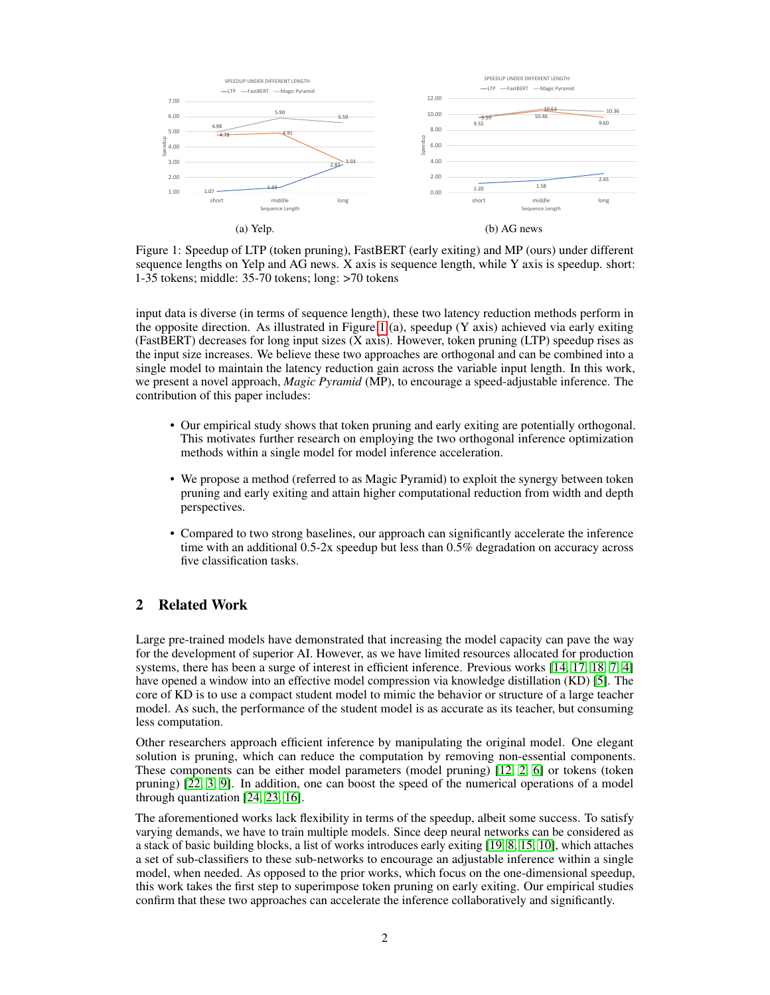<span id="page-1-0"></span>

Figure 1: Speedup of LTP (token pruning), FastBERT (early exiting) and MP (ours) under different sequence lengths on Yelp and AG news. X axis is sequence length, while Y axis is speedup. short: 1-35 tokens; middle: 35-70 tokens; long: >70 tokens

input data is diverse (in terms of sequence length), these two latency reduction methods perform in the opposite direction. As illustrated in Figure [1](#page-1-0) (a), speedup  $(Y \text{ axis})$  achieved via early exiting (FastBERT) decreases for long input sizes (X axis). However, token pruning (LTP) speedup rises as the input size increases. We believe these two approaches are orthogonal and can be combined into a single model to maintain the latency reduction gain across the variable input length. In this work, we present a novel approach, *Magic Pyramid* (MP), to encourage a speed-adjustable inference. The contribution of this paper includes:

- Our empirical study shows that token pruning and early exiting are potentially orthogonal. This motivates further research on employing the two orthogonal inference optimization methods within a single model for model inference acceleration.
- We propose a method (referred to as Magic Pyramid) to exploit the synergy between token pruning and early exiting and attain higher computational reduction from width and depth perspectives.
- Compared to two strong baselines, our approach can significantly accelerate the inference time with an additional  $0.5-2x$  speedup but less than  $0.5\%$  degradation on accuracy across five classification tasks.

## 2 Related Work

Large pre-trained models have demonstrated that increasing the model capacity can pave the way for the development of superior AI. However, as we have limited resources allocated for production systems, there has been a surge of interest in efficient inference. Previous works [\[14,](#page-6-8) [17,](#page-7-2) [18,](#page-7-3) [7,](#page-6-9) [4\]](#page-6-10) have opened a window into an effective model compression via knowledge distillation (KD) [\[5\]](#page-6-14). The core of KD is to use a compact student model to mimic the behavior or structure of a large teacher model. As such, the performance of the student model is as accurate as its teacher, but consuming less computation.

Other researchers approach efficient inference by manipulating the original model. One elegant solution is pruning, which can reduce the computation by removing non-essential components. These components can be either model parameters (model pruning) [\[12,](#page-6-3) [2,](#page-6-4) [6\]](#page-6-5) or tokens (token pruning) [\[22,](#page-7-1) [3,](#page-6-6) [9\]](#page-6-7). In addition, one can boost the speed of the numerical operations of a model through quantization [\[24,](#page-7-5) [23,](#page-7-6) [16\]](#page-6-15).

The aforementioned works lack flexibility in terms of the speedup, albeit some success. To satisfy varying demands, we have to train multiple models. Since deep neural networks can be considered as a stack of basic building blocks, a list of works introduces early exiting [\[19,](#page-7-4) [8,](#page-6-11) [15,](#page-6-12) [10\]](#page-6-13), which attaches a set of sub-classifiers to these sub-networks to encourage an adjustable inference within a single model, when needed. As opposed to the prior works, which focus on the one-dimensional speedup, this work takes the first step to superimpose token pruning on early exiting. Our empirical studies confirm that these two approaches can accelerate the inference collaboratively and significantly.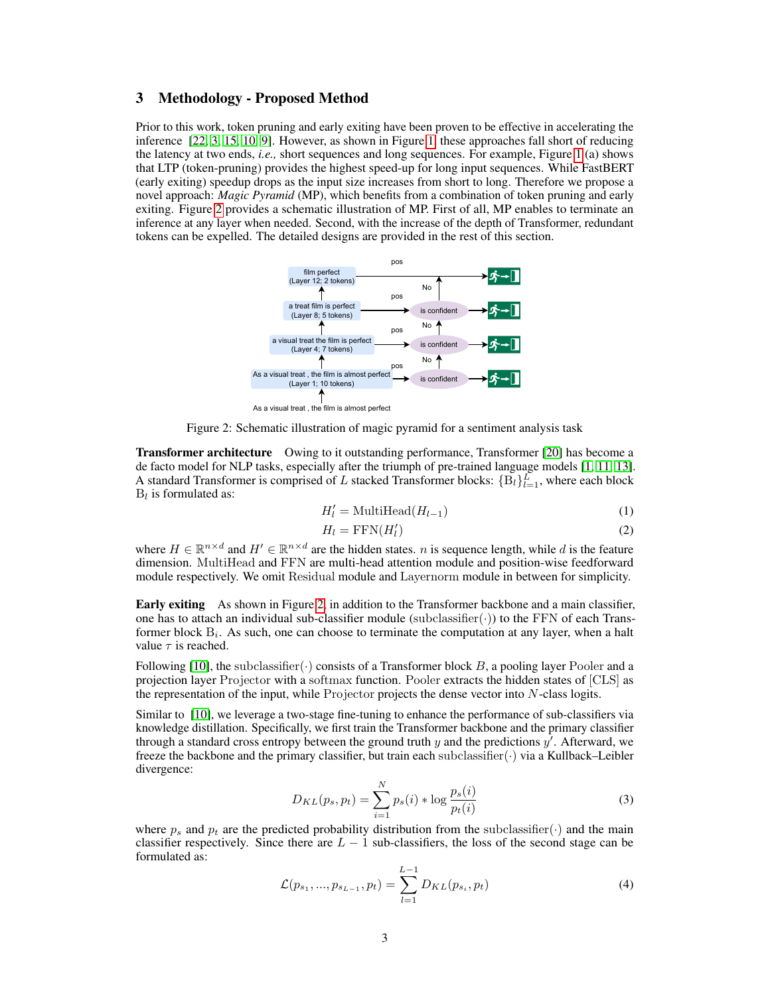### <span id="page-2-2"></span>3 Methodology - Proposed Method

Prior to this work, token pruning and early exiting have been proven to be effective in accelerating the inference [\[22,](#page-7-1) [3,](#page-6-6) [15,](#page-6-12) [10,](#page-6-13) [9\]](#page-6-7). However, as shown in Figure [1,](#page-1-0) these approaches fall short of reducing the latency at two ends, *i.e.,* short sequences and long sequences. For example, Figure [1](#page-1-0) (a) shows that LTP (token-pruning) provides the highest speed-up for long input sequences. While FastBERT (early exiting) speedup drops as the input size increases from short to long. Therefore we propose a novel approach: *Magic Pyramid* (MP), which benefits from a combination of token pruning and early exiting. Figure [2](#page-2-0) provides a schematic illustration of MP. First of all, MP enables to terminate an inference at any layer when needed. Second, with the increase of the depth of Transformer, redundant tokens can be expelled. The detailed designs are provided in the rest of this section.

<span id="page-2-0"></span>

Figure 2: Schematic illustration of magic pyramid for a sentiment analysis task

Transformer architecture Owing to it outstanding performance, Transformer [\[20\]](#page-7-0) has become a de facto model for NLP tasks, especially after the triumph of pre-trained language models [\[1,](#page-6-0) [11,](#page-6-1) [13\]](#page-6-2). A standard Transformer is comprised of L stacked Transformer blocks:  ${B_l}_{l=1}^L$ , where each block  $B_l$  is formulated as:

$$
H'_{l} = \text{MultiHead}(H_{l-1})
$$
\n<sup>(1)</sup>

$$
H_l = \text{FFN}(H_l') \tag{2}
$$

where  $H \in \mathbb{R}^{n \times d}$  and  $H' \in \mathbb{R}^{n \times d}$  are the hidden states. *n* is sequence length, while *d* is the feature dimension. MultiHead and FFN are multi-head attention module and position-wise feedforward module respectively. We omit Residual module and Layernorm module in between for simplicity.

Early exiting As shown in Figure [2,](#page-2-0) in addition to the Transformer backbone and a main classifier, one has to attach an individual sub-classifier module (subclassifier( $\cdot$ )) to the FFN of each Transformer block  $B_i$ . As such, one can choose to terminate the computation at any layer, when a halt value  $\tau$  is reached.

Following [\[10\]](#page-6-13), the subclassifier( $\cdot$ ) consists of a Transformer block B, a pooling layer Pooler and a projection layer Projector with a softmax function. Pooler extracts the hidden states of [CLS] as the representation of the input, while Projector projects the dense vector into  $N$ -class logits.

Similar to [\[10\]](#page-6-13), we leverage a two-stage fine-tuning to enhance the performance of sub-classifiers via knowledge distillation. Specifically, we first train the Transformer backbone and the primary classifier through a standard cross entropy between the ground truth y and the predictions  $y'$ . Afterward, we freeze the backbone and the primary classifier, but train each subclassifier( $\cdot$ ) via a Kullback–Leibler divergence:

$$
D_{KL}(p_s, p_t) = \sum_{i=1}^{N} p_s(i) * \log \frac{p_s(i)}{p_t(i)}
$$
(3)

where  $p_s$  and  $p_t$  are the predicted probability distribution from the subclassifier( $\cdot$ ) and the main classifier respectively. Since there are  $L - 1$  sub-classifiers, the loss of the second stage can be formulated as:

<span id="page-2-1"></span>
$$
\mathcal{L}(p_{s_1}, ..., p_{s_{L-1}}, p_t) = \sum_{l=1}^{L-1} D_{KL}(p_{s_i}, p_t)
$$
\n(4)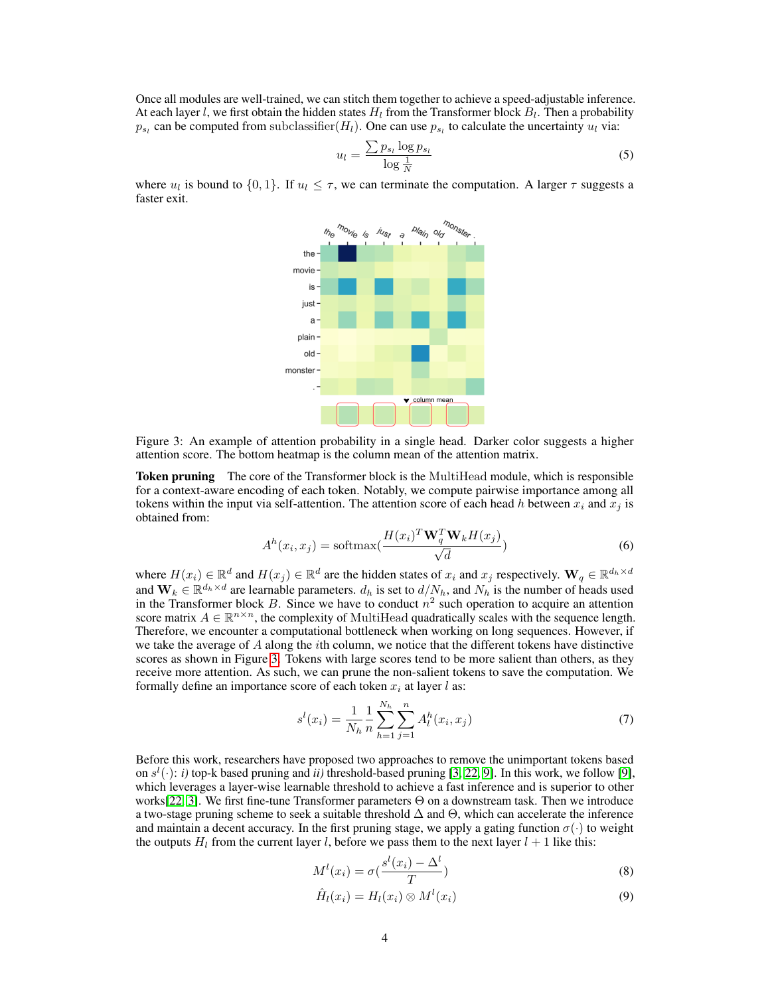Once all modules are well-trained, we can stitch them together to achieve a speed-adjustable inference. At each layer l, we first obtain the hidden states  $H_l$  from the Transformer block  $B_l$ . Then a probability  $p_{s_l}$  can be computed from subclassifier  $(H_l)$ . One can use  $p_{s_l}$  to calculate the uncertainty  $u_l$  via:

$$
u_l = \frac{\sum p_{s_l} \log p_{s_l}}{\log \frac{1}{N}}\tag{5}
$$

<span id="page-3-0"></span>where  $u_l$  is bound to  $\{0, 1\}$ . If  $u_l \leq \tau$ , we can terminate the computation. A larger  $\tau$  suggests a faster exit.



Figure 3: An example of attention probability in a single head. Darker color suggests a higher attention score. The bottom heatmap is the column mean of the attention matrix.

Token pruning The core of the Transformer block is the MultiHead module, which is responsible for a context-aware encoding of each token. Notably, we compute pairwise importance among all tokens within the input via self-attention. The attention score of each head h between  $x_i$  and  $x_j$  is obtained from:

$$
A^{h}(x_{i}, x_{j}) = \text{softmax}(\frac{H(x_{i})^{T} \mathbf{W}_{q}^{T} \mathbf{W}_{k} H(x_{j})}{\sqrt{d}})
$$
(6)

where  $H(x_i) \in \mathbb{R}^d$  and  $H(x_j) \in \mathbb{R}^d$  are the hidden states of  $x_i$  and  $x_j$  respectively.  $\mathbf{W}_q \in \mathbb{R}^{d_h \times d}$ and  $\mathbf{W}_k \in \mathbb{R}^{d_h \times d}$  are learnable parameters.  $d_h$  is set to  $d/N_h$ , and  $N_h$  is the number of heads used in the Transformer block B. Since we have to conduct  $n^2$  such operation to acquire an attention score matrix  $A \in \mathbb{R}^{n \times n}$ , the complexity of MultiHead quadratically scales with the sequence length. Therefore, we encounter a computational bottleneck when working on long sequences. However, if we take the average of  $A$  along the *i*th column, we notice that the different tokens have distinctive scores as shown in Figure [3.](#page-3-0) Tokens with large scores tend to be more salient than others, as they receive more attention. As such, we can prune the non-salient tokens to save the computation. We formally define an importance score of each token  $x_i$  at layer l as:

$$
s^{l}(x_{i}) = \frac{1}{N_{h}} \frac{1}{n} \sum_{h=1}^{N_{h}} \sum_{j=1}^{n} A_{l}^{h}(x_{i}, x_{j})
$$
\n(7)

Before this work, researchers have proposed two approaches to remove the unimportant tokens based on  $s^l(\cdot)$ : *i*) top-k based pruning and *ii*) threshold-based pruning [\[3,](#page-6-6) [22,](#page-7-1) [9\]](#page-6-7). In this work, we follow [\[9\]](#page-6-7), which leverages a layer-wise learnable threshold to achieve a fast inference and is superior to other works[\[22,](#page-7-1) [3\]](#page-6-6). We first fine-tune Transformer parameters Θ on a downstream task. Then we introduce a two-stage pruning scheme to seek a suitable threshold  $\Delta$  and  $\Theta$ , which can accelerate the inference and maintain a decent accuracy. In the first pruning stage, we apply a gating function  $\sigma(\cdot)$  to weight the outputs  $H_l$  from the current layer l, before we pass them to the next layer  $l + 1$  like this:

$$
M^{l}(x_{i}) = \sigma\left(\frac{s^{l}(x_{i}) - \Delta^{l}}{T}\right)
$$
\n(8)

$$
\hat{H}_l(x_i) = H_l(x_i) \otimes M^l(x_i) \tag{9}
$$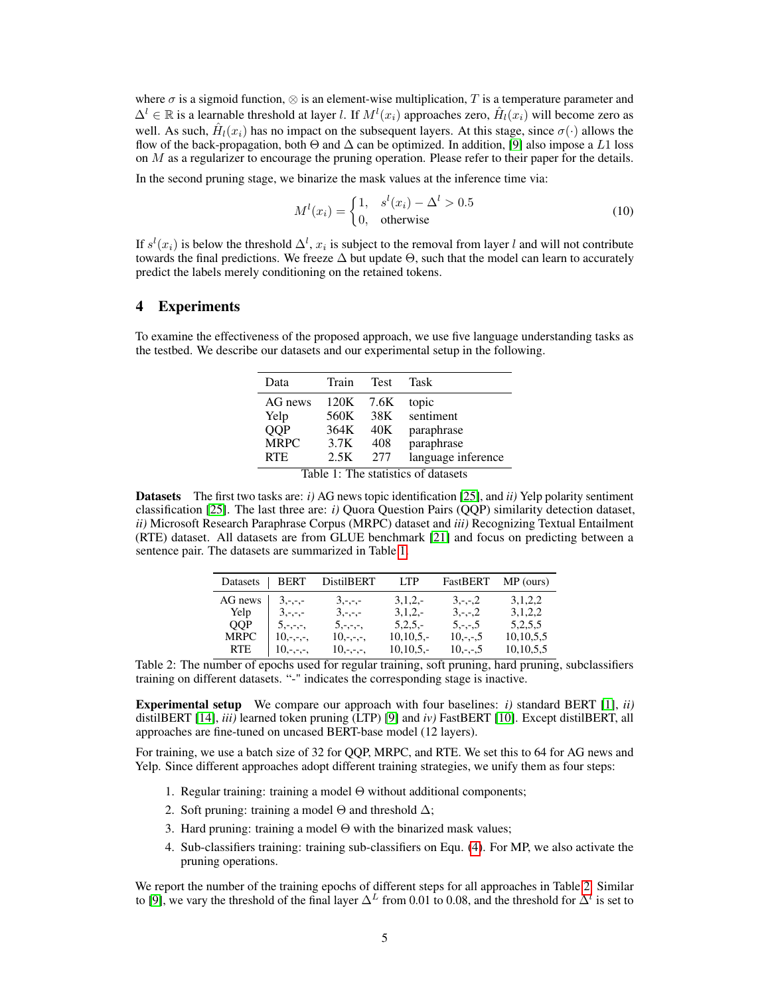where  $\sigma$  is a sigmoid function,  $\otimes$  is an element-wise multiplication, T is a temperature parameter and  $\Delta^l \in \mathbb{R}$  is a learnable threshold at layer *l*. If  $M^l(x_i)$  approaches zero,  $\hat{H}_l(x_i)$  will become zero as well. As such,  $\hat{H}_l(x_i)$  has no impact on the subsequent layers. At this stage, since  $\sigma(\cdot)$  allows the flow of the back-propagation, both  $\Theta$  and  $\Delta$  can be optimized. In addition, [\[9\]](#page-6-7) also impose a L1 loss on  $M$  as a regularizer to encourage the pruning operation. Please refer to their paper for the details.

In the second pruning stage, we binarize the mask values at the inference time via:

$$
M^{l}(x_{i}) = \begin{cases} 1, & s^{l}(x_{i}) - \Delta^{l} > 0.5\\ 0, & \text{otherwise} \end{cases}
$$
 (10)

If  $s^l(x_i)$  is below the threshold  $\Delta^l$ ,  $x_i$  is subject to the removal from layer l and will not contribute towards the final predictions. We freeze  $\Delta$  but update  $\Theta$ , such that the model can learn to accurately predict the labels merely conditioning on the retained tokens.

## 4 Experiments

<span id="page-4-0"></span>To examine the effectiveness of the proposed approach, we use five language understanding tasks as the testbed. We describe our datasets and our experimental setup in the following.

| Data                                | Train | <b>Test</b> | Task               |  |  |
|-------------------------------------|-------|-------------|--------------------|--|--|
| AG news                             | 120K  | 7.6K        | topic              |  |  |
| Yelp                                | 560K  | 38K         | sentiment          |  |  |
| QQP                                 | 364K  | 40K         | paraphrase         |  |  |
| <b>MRPC</b>                         | 3.7K  | 408         | paraphrase         |  |  |
| <b>RTE</b>                          | 2.5K  | 2.77        | language inference |  |  |
| Table 1: The statistics of datasets |       |             |                    |  |  |

<span id="page-4-1"></span>Datasets The first two tasks are: *i)* AG news topic identification [\[25\]](#page-7-7), and *ii)* Yelp polarity sentiment classification [\[25\]](#page-7-7). The last three are: *i)* Quora Question Pairs (QQP) similarity detection dataset, *ii)* Microsoft Research Paraphrase Corpus (MRPC) dataset and *iii)* Recognizing Textual Entailment (RTE) dataset. All datasets are from GLUE benchmark [\[21\]](#page-7-8) and focus on predicting between a sentence pair. The datasets are summarized in Table [1.](#page-4-0)

| Datasets    | <b>BERT</b> | <b>DistilBERT</b> | <b>LTP</b>  | FastBERT     | $MP$ (ours)  |
|-------------|-------------|-------------------|-------------|--------------|--------------|
| AG news     | $3, -,-,-$  | $3, -,-,-$        | $3,1,2,-$   | $3, -1, -2$  | 3, 1, 2, 2   |
| Yelp        | $3, -,-,-$  | $3, -,-,-$        | $3,1,2,-$   | $3, -,-, 2$  | 3,1,2,2      |
| <b>OOP</b>  | $5, -,-,-$  | $5, -,-,-$        | $5,2,5,-$   | $5, -,-, 5$  | 5,2,5,5      |
| <b>MRPC</b> | $10,-,-,-$  | $10, -,-,-$       | $10,10,5,-$ | $10, -,-, 5$ | 10, 10, 5, 5 |
| <b>RTE</b>  | $10,-,-,-$  | $10, -,-,-$       | $10,10,5,-$ | $10, -,-, 5$ | 10, 10, 5, 5 |

Table 2: The number of epochs used for regular training, soft pruning, hard pruning, subclassifiers training on different datasets. "-" indicates the corresponding stage is inactive.

Experimental setup We compare our approach with four baselines: *i)* standard BERT [\[1\]](#page-6-0), *ii)* distilBERT [\[14\]](#page-6-8), *iii)* learned token pruning (LTP) [\[9\]](#page-6-7) and *iv)* FastBERT [\[10\]](#page-6-13). Except distilBERT, all approaches are fine-tuned on uncased BERT-base model (12 layers).

For training, we use a batch size of 32 for QQP, MRPC, and RTE. We set this to 64 for AG news and Yelp. Since different approaches adopt different training strategies, we unify them as four steps:

- 1. Regular training: training a model  $\Theta$  without additional components;
- 2. Soft pruning: training a model  $\Theta$  and threshold  $\Delta$ ;
- 3. Hard pruning: training a model  $\Theta$  with the binarized mask values;
- 4. Sub-classifiers training: training sub-classifiers on Equ. [\(4\)](#page-2-1). For MP, we also activate the pruning operations.

We report the number of the training epochs of different steps for all approaches in Table [2.](#page-4-1) Similar to [\[9\]](#page-6-7), we vary the threshold of the final layer  $\Delta^L$  from 0.01 to 0.08, and the threshold for  $\Delta^l$  is set to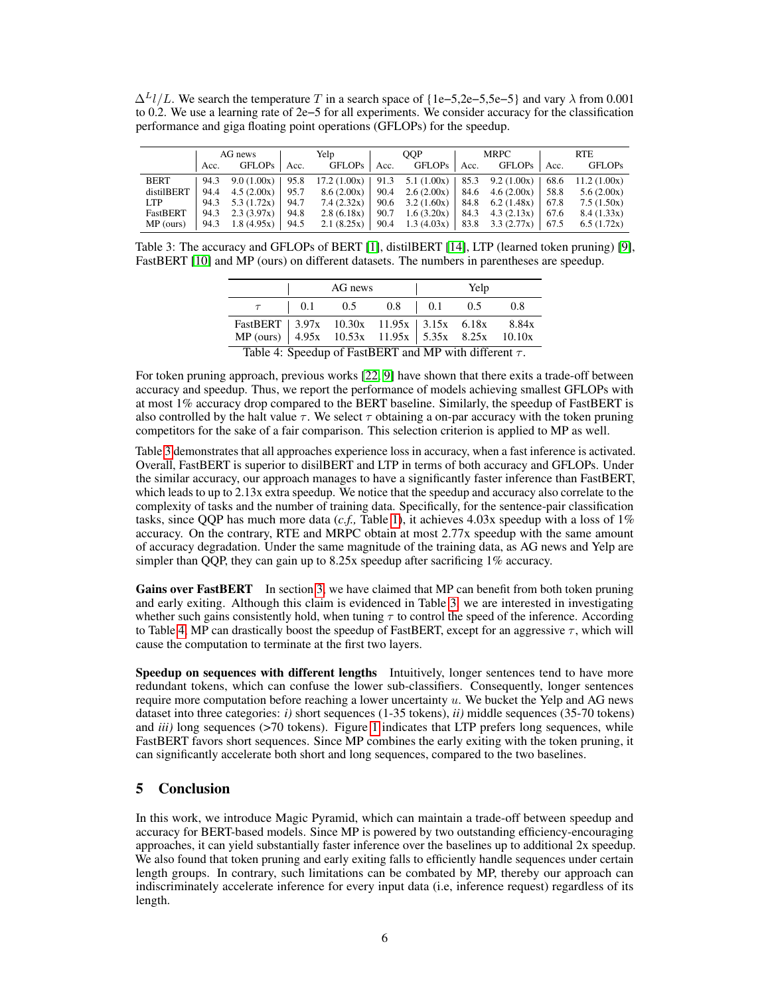$\Delta^L l/L$ . We search the temperature T in a search space of {1e–5,2e–5,5e–5} and vary  $\lambda$  from 0.001 to 0.2. We use a learning rate of 2e−5 for all experiments. We consider accuracy for the classification performance and giga floating point operations (GFLOPs) for the speedup.

<span id="page-5-0"></span>

|             | AG news |                           |      | Yelp                                                        |      | OOP                                        |      | MRPC               |      | <b>RTE</b>    |  |
|-------------|---------|---------------------------|------|-------------------------------------------------------------|------|--------------------------------------------|------|--------------------|------|---------------|--|
|             | Acc.    | <b>GFLOPs</b>             | Acc. | <b>GFLOPs</b>                                               | Acc. | GFLOPs                                     | Acc. | GFLOPs             | Acc. | <b>GFLOPs</b> |  |
| <b>BERT</b> |         | 94.3 9.0 $(1.00x)$   95.8 |      | $17.2 (1.00x)$   91.3 5.1 (1.00x)   85.3 9.2 (1.00x)   68.6 |      |                                            |      |                    |      | 11.2(1.00x)   |  |
| distilBERT  |         | 94.4 4.5 $(2.00x)$ 95.7   |      | 8.6(2.00x)                                                  |      | 90.4 2.6 (2.00x)   84.6 4.6 (2.00x)        |      |                    | 58.8 | 5.6(2.00x)    |  |
| LTP -       |         | 94.3 $5.3(1.72x)$ 94.7    |      | 7.4(2.32x)                                                  |      |                                            |      |                    |      | 7.5(1.50x)    |  |
| FastBERT    |         | 94.3 2.3 $(3.97x)$        | 94.8 | 2.8(6.18x)                                                  | 90.7 | 1.6(3.20x)                                 |      | 84.3 4.3 $(2.13x)$ | 67.6 | 8.4(1.33x)    |  |
| MP (ours)   |         | 94.3 1.8 (4.95x)   94.5   |      | 2.1(8.25x)                                                  |      | 90.4 1.3 (4.03x)   83.8 3.3 (2.77x)   67.5 |      |                    |      | 6.5(1.72x)    |  |

<span id="page-5-1"></span>Table 3: The accuracy and GFLOPs of BERT [\[1\]](#page-6-0), distilBERT [\[14\]](#page-6-8), LTP (learned token pruning) [\[9\]](#page-6-7), FastBERT [\[10\]](#page-6-13) and MP (ours) on different datasets. The numbers in parentheses are speedup.

|                                                                                                    | AG news |                                                                                     |  | Yelp |  |     |
|----------------------------------------------------------------------------------------------------|---------|-------------------------------------------------------------------------------------|--|------|--|-----|
|                                                                                                    |         | $\begin{array}{cccccc} \n\vert & 0.1 & 0.5 & 0.8 & \vert & 0.1 & 0.5 \n\end{array}$ |  |      |  | 0.8 |
| FastBERT 3.97x 10.30x 11.95x 3.15x 6.18x 8.84x<br>MP (ours) 4.95x 10.53x 11.95x 5.35x 8.25x 10.10x |         |                                                                                     |  |      |  |     |
|                                                                                                    |         |                                                                                     |  |      |  |     |
| Table 4: Speedup of FastBERT and MP with different $\tau$ .                                        |         |                                                                                     |  |      |  |     |

For token pruning approach, previous works [\[22,](#page-7-1) [9\]](#page-6-7) have shown that there exits a trade-off between accuracy and speedup. Thus, we report the performance of models achieving smallest GFLOPs with at most 1% accuracy drop compared to the BERT baseline. Similarly, the speedup of FastBERT is also controlled by the halt value  $\tau$ . We select  $\tau$  obtaining a on-par accuracy with the token pruning competitors for the sake of a fair comparison. This selection criterion is applied to MP as well.

Table [3](#page-5-0) demonstrates that all approaches experience loss in accuracy, when a fast inference is activated. Overall, FastBERT is superior to disilBERT and LTP in terms of both accuracy and GFLOPs. Under the similar accuracy, our approach manages to have a significantly faster inference than FastBERT, which leads to up to 2.13x extra speedup. We notice that the speedup and accuracy also correlate to the complexity of tasks and the number of training data. Specifically, for the sentence-pair classification tasks, since QQP has much more data (*c.f.,* Table [1\)](#page-4-0), it achieves 4.03x speedup with a loss of 1% accuracy. On the contrary, RTE and MRPC obtain at most 2.77x speedup with the same amount of accuracy degradation. Under the same magnitude of the training data, as AG news and Yelp are simpler than QQP, they can gain up to 8.25x speedup after sacrificing 1% accuracy.

Gains over FastBERT In section [3,](#page-2-2) we have claimed that MP can benefit from both token pruning and early exiting. Although this claim is evidenced in Table [3,](#page-5-0) we are interested in investigating whether such gains consistently hold, when tuning  $\tau$  to control the speed of the inference. According to Table [4,](#page-5-1) MP can drastically boost the speedup of FastBERT, except for an aggressive  $\tau$ , which will cause the computation to terminate at the first two layers.

Speedup on sequences with different lengths Intuitively, longer sentences tend to have more redundant tokens, which can confuse the lower sub-classifiers. Consequently, longer sentences require more computation before reaching a lower uncertainty  $u$ . We bucket the Yelp and AG news dataset into three categories: *i)* short sequences (1-35 tokens), *ii)* middle sequences (35-70 tokens) and *iii*) long sequences (>70 tokens). Figure [1](#page-1-0) indicates that LTP prefers long sequences, while FastBERT favors short sequences. Since MP combines the early exiting with the token pruning, it can significantly accelerate both short and long sequences, compared to the two baselines.

# 5 Conclusion

In this work, we introduce Magic Pyramid, which can maintain a trade-off between speedup and accuracy for BERT-based models. Since MP is powered by two outstanding efficiency-encouraging approaches, it can yield substantially faster inference over the baselines up to additional 2x speedup. We also found that token pruning and early exiting falls to efficiently handle sequences under certain length groups. In contrary, such limitations can be combated by MP, thereby our approach can indiscriminately accelerate inference for every input data (i.e, inference request) regardless of its length.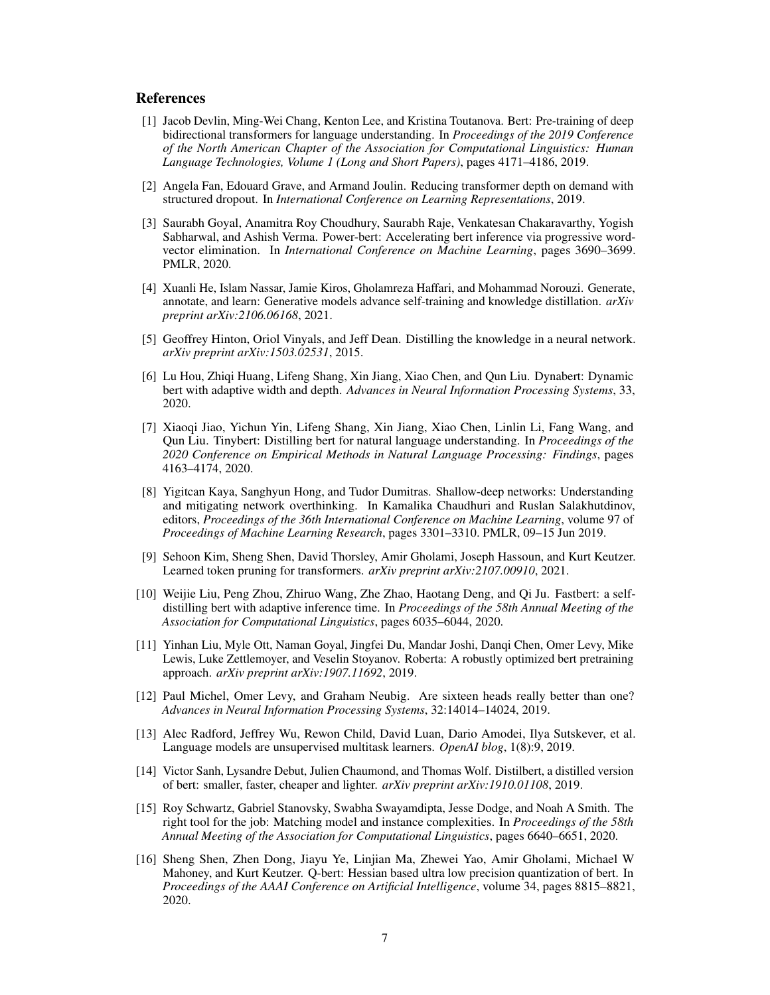#### References

- <span id="page-6-0"></span>[1] Jacob Devlin, Ming-Wei Chang, Kenton Lee, and Kristina Toutanova. Bert: Pre-training of deep bidirectional transformers for language understanding. In *Proceedings of the 2019 Conference of the North American Chapter of the Association for Computational Linguistics: Human Language Technologies, Volume 1 (Long and Short Papers)*, pages 4171–4186, 2019.
- <span id="page-6-4"></span>[2] Angela Fan, Edouard Grave, and Armand Joulin. Reducing transformer depth on demand with structured dropout. In *International Conference on Learning Representations*, 2019.
- <span id="page-6-6"></span>[3] Saurabh Goyal, Anamitra Roy Choudhury, Saurabh Raje, Venkatesan Chakaravarthy, Yogish Sabharwal, and Ashish Verma. Power-bert: Accelerating bert inference via progressive wordvector elimination. In *International Conference on Machine Learning*, pages 3690–3699. PMLR, 2020.
- <span id="page-6-10"></span>[4] Xuanli He, Islam Nassar, Jamie Kiros, Gholamreza Haffari, and Mohammad Norouzi. Generate, annotate, and learn: Generative models advance self-training and knowledge distillation. *arXiv preprint arXiv:2106.06168*, 2021.
- <span id="page-6-14"></span>[5] Geoffrey Hinton, Oriol Vinyals, and Jeff Dean. Distilling the knowledge in a neural network. *arXiv preprint arXiv:1503.02531*, 2015.
- <span id="page-6-5"></span>[6] Lu Hou, Zhiqi Huang, Lifeng Shang, Xin Jiang, Xiao Chen, and Qun Liu. Dynabert: Dynamic bert with adaptive width and depth. *Advances in Neural Information Processing Systems*, 33, 2020.
- <span id="page-6-9"></span>[7] Xiaoqi Jiao, Yichun Yin, Lifeng Shang, Xin Jiang, Xiao Chen, Linlin Li, Fang Wang, and Qun Liu. Tinybert: Distilling bert for natural language understanding. In *Proceedings of the 2020 Conference on Empirical Methods in Natural Language Processing: Findings*, pages 4163–4174, 2020.
- <span id="page-6-11"></span>[8] Yigitcan Kaya, Sanghyun Hong, and Tudor Dumitras. Shallow-deep networks: Understanding and mitigating network overthinking. In Kamalika Chaudhuri and Ruslan Salakhutdinov, editors, *Proceedings of the 36th International Conference on Machine Learning*, volume 97 of *Proceedings of Machine Learning Research*, pages 3301–3310. PMLR, 09–15 Jun 2019.
- <span id="page-6-7"></span>[9] Sehoon Kim, Sheng Shen, David Thorsley, Amir Gholami, Joseph Hassoun, and Kurt Keutzer. Learned token pruning for transformers. *arXiv preprint arXiv:2107.00910*, 2021.
- <span id="page-6-13"></span>[10] Weijie Liu, Peng Zhou, Zhiruo Wang, Zhe Zhao, Haotang Deng, and Qi Ju. Fastbert: a selfdistilling bert with adaptive inference time. In *Proceedings of the 58th Annual Meeting of the Association for Computational Linguistics*, pages 6035–6044, 2020.
- <span id="page-6-1"></span>[11] Yinhan Liu, Myle Ott, Naman Goyal, Jingfei Du, Mandar Joshi, Danqi Chen, Omer Levy, Mike Lewis, Luke Zettlemoyer, and Veselin Stoyanov. Roberta: A robustly optimized bert pretraining approach. *arXiv preprint arXiv:1907.11692*, 2019.
- <span id="page-6-3"></span>[12] Paul Michel, Omer Levy, and Graham Neubig. Are sixteen heads really better than one? *Advances in Neural Information Processing Systems*, 32:14014–14024, 2019.
- <span id="page-6-2"></span>[13] Alec Radford, Jeffrey Wu, Rewon Child, David Luan, Dario Amodei, Ilya Sutskever, et al. Language models are unsupervised multitask learners. *OpenAI blog*, 1(8):9, 2019.
- <span id="page-6-8"></span>[14] Victor Sanh, Lysandre Debut, Julien Chaumond, and Thomas Wolf. Distilbert, a distilled version of bert: smaller, faster, cheaper and lighter. *arXiv preprint arXiv:1910.01108*, 2019.
- <span id="page-6-12"></span>[15] Roy Schwartz, Gabriel Stanovsky, Swabha Swayamdipta, Jesse Dodge, and Noah A Smith. The right tool for the job: Matching model and instance complexities. In *Proceedings of the 58th Annual Meeting of the Association for Computational Linguistics*, pages 6640–6651, 2020.
- <span id="page-6-15"></span>[16] Sheng Shen, Zhen Dong, Jiayu Ye, Linjian Ma, Zhewei Yao, Amir Gholami, Michael W Mahoney, and Kurt Keutzer. Q-bert: Hessian based ultra low precision quantization of bert. In *Proceedings of the AAAI Conference on Artificial Intelligence*, volume 34, pages 8815–8821, 2020.